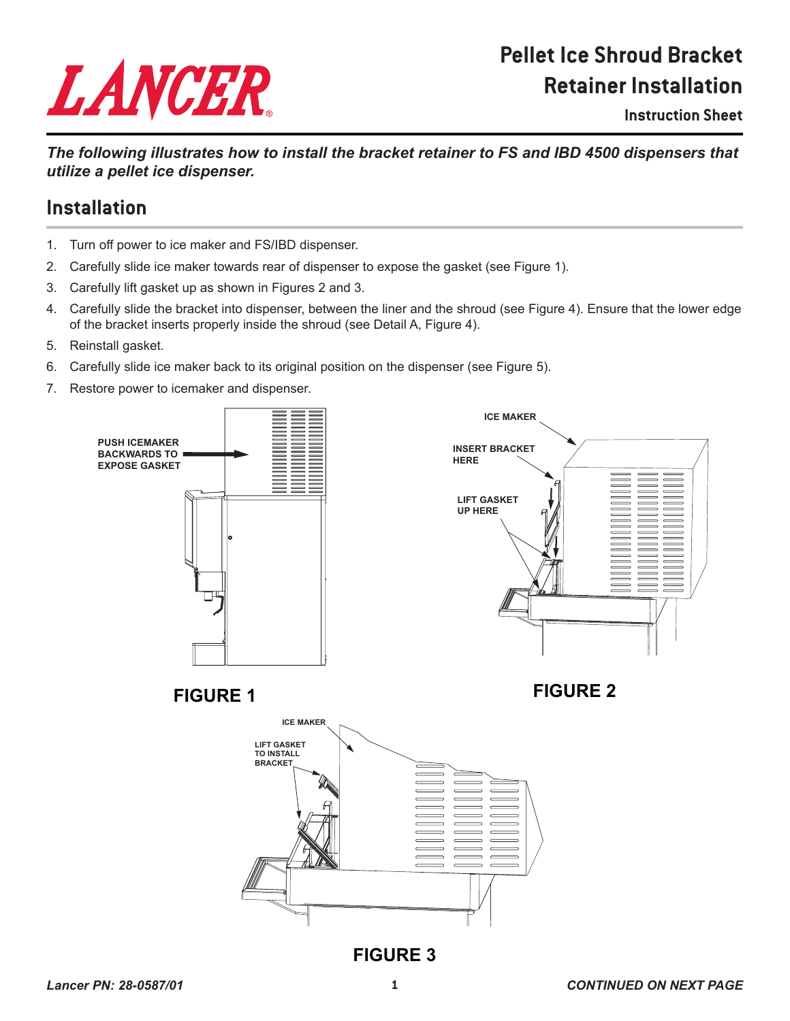## LANCER

## **Pellet Ice Shroud Bracket Retainer Installation**

**Instruction Sheet**

*The following illustrates how to install the bracket retainer to FS and IBD 4500 dispensers that utilize a pellet ice dispenser.*

## **Installation**

- 1. Turn off power to ice maker and FS/IBD dispenser.
- 2. Carefully slide ice maker towards rear of dispenser to expose the gasket (see Figure 1).
- 3. Carefully lift gasket up as shown in Figures 2 and 3.
- 4. Carefully slide the bracket into dispenser, between the liner and the shroud (see Figure 4). Ensure that the lower edge of the bracket inserts properly inside the shroud (see Detail A, Figure 4).
- 5. Reinstall gasket.
- 6. Carefully slide ice maker back to its original position on the dispenser (see Figure 5).
- 7. Restore power to icemaker and dispenser.